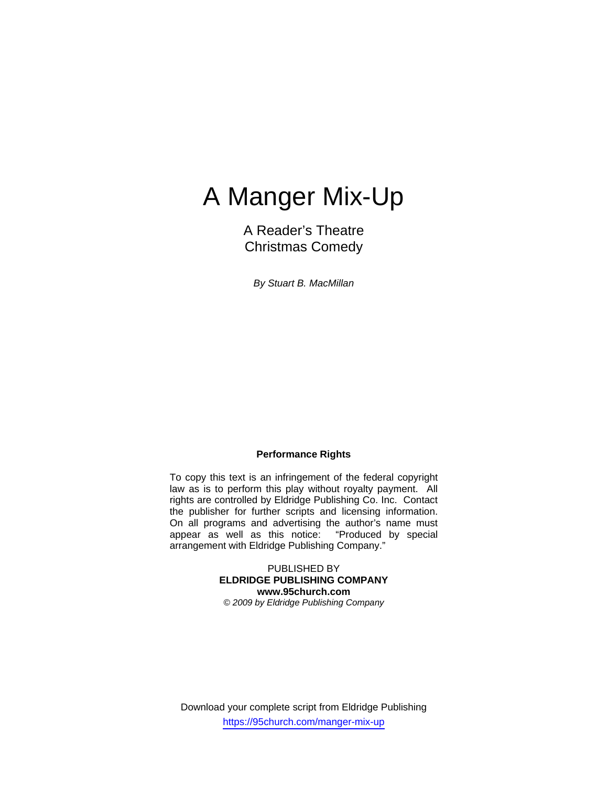# A Manger Mix-Up

A Reader's Theatre Christmas Comedy

*By Stuart B. MacMillan* 

### **Performance Rights**

To copy this text is an infringement of the federal copyright law as is to perform this play without royalty payment. All rights are controlled by Eldridge Publishing Co. Inc. Contact the publisher for further scripts and licensing information. On all programs and advertising the author's name must appear as well as this notice: "Produced by special arrangement with Eldridge Publishing Company."

> PUBLISHED BY **ELDRIDGE PUBLISHING COMPANY www.95church.com**

*© 2009 by Eldridge Publishing Company* 

Download your complete script from Eldridge Publishing https://95church.com/manger-mix-up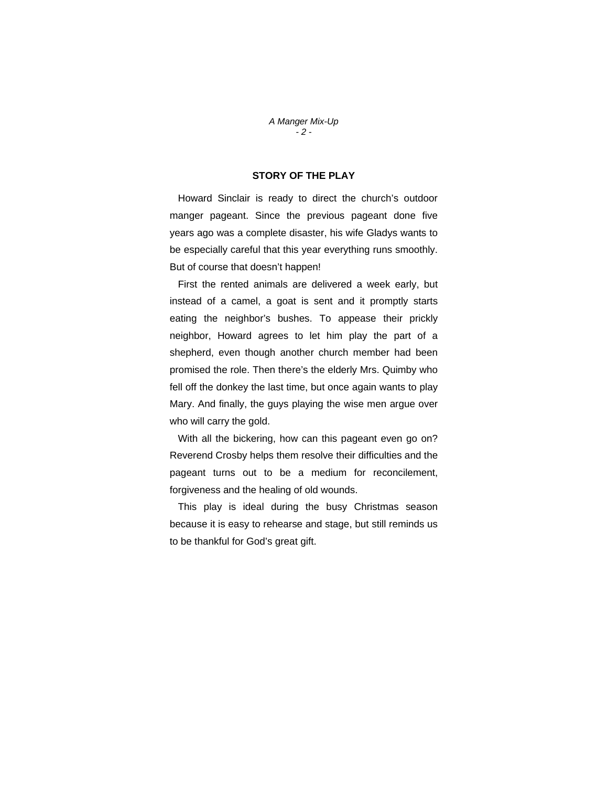#### *A Manger Mix-Up - 2 -*

## **STORY OF THE PLAY**

 Howard Sinclair is ready to direct the church's outdoor manger pageant. Since the previous pageant done five years ago was a complete disaster, his wife Gladys wants to be especially careful that this year everything runs smoothly. But of course that doesn't happen!

 First the rented animals are delivered a week early, but instead of a camel, a goat is sent and it promptly starts eating the neighbor's bushes. To appease their prickly neighbor, Howard agrees to let him play the part of a shepherd, even though another church member had been promised the role. Then there's the elderly Mrs. Quimby who fell off the donkey the last time, but once again wants to play Mary. And finally, the guys playing the wise men argue over who will carry the gold.

 With all the bickering, how can this pageant even go on? Reverend Crosby helps them resolve their difficulties and the pageant turns out to be a medium for reconcilement, forgiveness and the healing of old wounds.

 This play is ideal during the busy Christmas season because it is easy to rehearse and stage, but still reminds us to be thankful for God's great gift.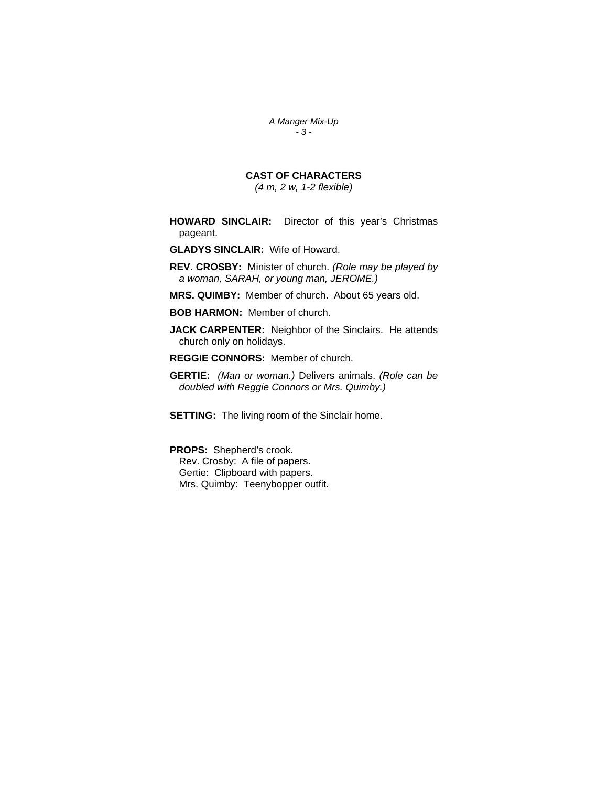*A Manger Mix-Up - 3 -* 

# **CAST OF CHARACTERS**

*(4 m, 2 w, 1-2 flexible)* 

- **HOWARD SINCLAIR:** Director of this year's Christmas pageant.
- **GLADYS SINCLAIR:** Wife of Howard.
- **REV. CROSBY:** Minister of church. *(Role may be played by a woman, SARAH, or young man, JEROME.)*
- **MRS. QUIMBY:** Member of church. About 65 years old.
- **BOB HARMON:** Member of church.
- **JACK CARPENTER:** Neighbor of the Sinclairs. He attends church only on holidays.
- **REGGIE CONNORS:** Member of church.
- **GERTIE:** *(Man or woman.)* Delivers animals. *(Role can be doubled with Reggie Connors or Mrs. Quimby.)*
- **SETTING:** The living room of the Sinclair home.

**PROPS:** Shepherd's crook. Rev. Crosby: A file of papers.

 Gertie: Clipboard with papers. Mrs. Quimby: Teenybopper outfit.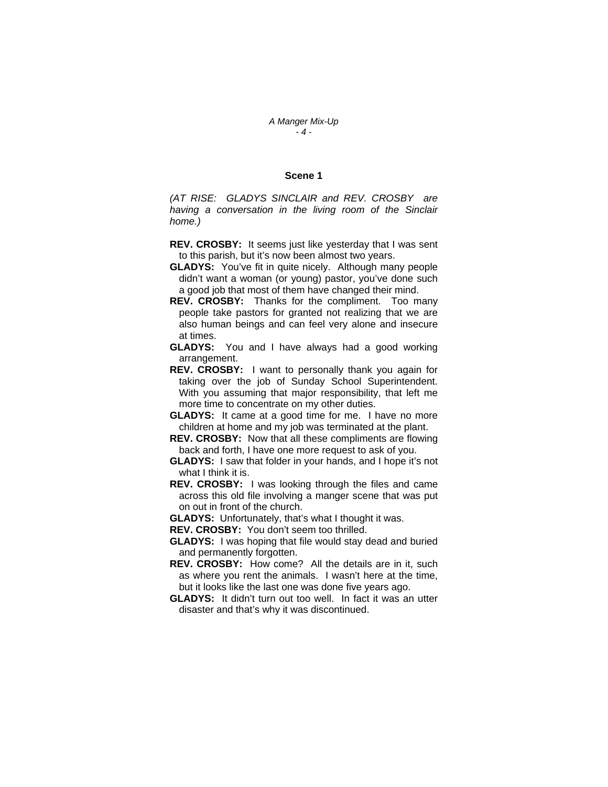#### **Scene 1**

*(AT RISE: GLADYS SINCLAIR and REV. CROSBY are having a conversation in the living room of the Sinclair home.)* 

- **REV. CROSBY:** It seems just like yesterday that I was sent to this parish, but it's now been almost two years.
- **GLADYS:** You've fit in quite nicely. Although many people didn't want a woman (or young) pastor, you've done such a good job that most of them have changed their mind.
- **REV. CROSBY:** Thanks for the compliment. Too many people take pastors for granted not realizing that we are also human beings and can feel very alone and insecure at times.
- **GLADYS:** You and I have always had a good working arrangement.
- **REV. CROSBY:** I want to personally thank you again for taking over the job of Sunday School Superintendent. With you assuming that major responsibility, that left me more time to concentrate on my other duties.
- **GLADYS:** It came at a good time for me. I have no more children at home and my job was terminated at the plant.
- **REV. CROSBY:** Now that all these compliments are flowing back and forth, I have one more request to ask of you.
- **GLADYS:** I saw that folder in your hands, and I hope it's not what I think it is.
- **REV. CROSBY:** I was looking through the files and came across this old file involving a manger scene that was put on out in front of the church.

**GLADYS:** Unfortunately, that's what I thought it was.

**REV. CROSBY:** You don't seem too thrilled.

- **GLADYS:** I was hoping that file would stay dead and buried and permanently forgotten.
- **REV. CROSBY:** How come? All the details are in it, such as where you rent the animals. I wasn't here at the time, but it looks like the last one was done five years ago.
- **GLADYS:** It didn't turn out too well. In fact it was an utter disaster and that's why it was discontinued.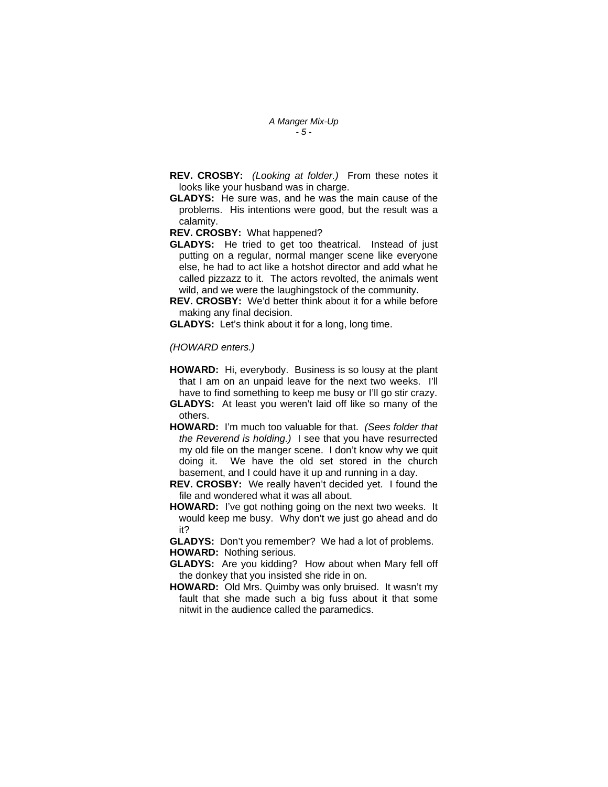- *A Manger Mix-Up - 5 -*
- **REV. CROSBY:** *(Looking at folder.)* From these notes it looks like your husband was in charge.
- **GLADYS:** He sure was, and he was the main cause of the problems. His intentions were good, but the result was a calamity.

**REV. CROSBY:** What happened?

**GLADYS:** He tried to get too theatrical. Instead of just putting on a regular, normal manger scene like everyone else, he had to act like a hotshot director and add what he called pizzazz to it. The actors revolted, the animals went wild, and we were the laughingstock of the community.

**REV. CROSBY:** We'd better think about it for a while before making any final decision.

**GLADYS:** Let's think about it for a long, long time.

*(HOWARD enters.)* 

- **HOWARD:** Hi, everybody. Business is so lousy at the plant that I am on an unpaid leave for the next two weeks. I'll have to find something to keep me busy or I'll go stir crazy.
- **GLADYS:** At least you weren't laid off like so many of the others.
- **HOWARD:** I'm much too valuable for that. *(Sees folder that the Reverend is holding.)* I see that you have resurrected my old file on the manger scene. I don't know why we quit doing it. We have the old set stored in the church basement, and I could have it up and running in a day.
- **REV. CROSBY:** We really haven't decided yet. I found the file and wondered what it was all about.
- **HOWARD:** I've got nothing going on the next two weeks. It would keep me busy. Why don't we just go ahead and do it?

**GLADYS:** Don't you remember? We had a lot of problems. **HOWARD:** Nothing serious.

- **GLADYS:** Are you kidding? How about when Mary fell off the donkey that you insisted she ride in on.
- **HOWARD:** Old Mrs. Quimby was only bruised. It wasn't my fault that she made such a big fuss about it that some nitwit in the audience called the paramedics.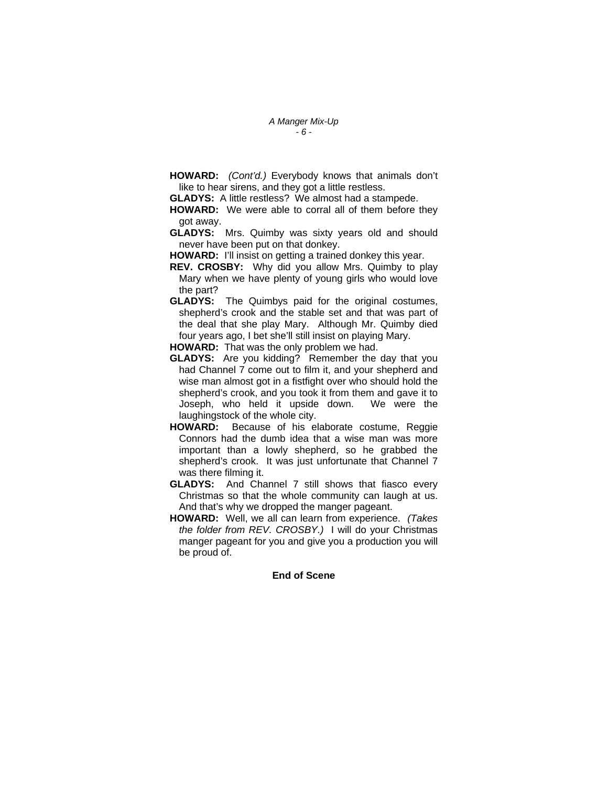**HOWARD:** *(Cont'd.)* Everybody knows that animals don't like to hear sirens, and they got a little restless.

**GLADYS:** A little restless? We almost had a stampede.

- **HOWARD:** We were able to corral all of them before they got away.
- **GLADYS:** Mrs. Quimby was sixty years old and should never have been put on that donkey.
- **HOWARD:** I'll insist on getting a trained donkey this year.
- **REV. CROSBY:** Why did you allow Mrs. Quimby to play Mary when we have plenty of young girls who would love the part?
- **GLADYS:** The Quimbys paid for the original costumes, shepherd's crook and the stable set and that was part of the deal that she play Mary. Although Mr. Quimby died four years ago, I bet she'll still insist on playing Mary.
- **HOWARD:** That was the only problem we had.
- **GLADYS:** Are you kidding? Remember the day that you had Channel 7 come out to film it, and your shepherd and wise man almost got in a fistfight over who should hold the shepherd's crook, and you took it from them and gave it to Joseph, who held it upside down. We were the laughingstock of the whole city.
- **HOWARD:** Because of his elaborate costume, Reggie Connors had the dumb idea that a wise man was more important than a lowly shepherd, so he grabbed the shepherd's crook. It was just unfortunate that Channel 7 was there filming it.
- **GLADYS:** And Channel 7 still shows that fiasco every Christmas so that the whole community can laugh at us. And that's why we dropped the manger pageant.
- **HOWARD:** Well, we all can learn from experience. *(Takes the folder from REV. CROSBY.)* I will do your Christmas manger pageant for you and give you a production you will be proud of.

#### **End of Scene**